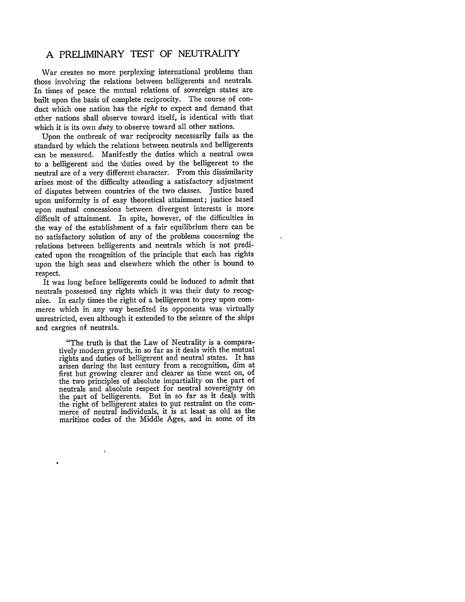## A PRELIMINARY TEST OF NEUTRALITY

War creates no more perplexing international problems than those involving the relations between belligerents and neutrals. In times of peace the mutual relations of sovereign states are built upon the basis of complete reciprocity. The course of conduct which one nation has the *right* to expect and demand that other nations shall observe toward itself, is identical with that which it is its own *duty* to observe toward all other nations.

Upon the outbreak of war reciprocity necessarily fails as the standard by which the relations between neutrals and belligerents can be measured. Manifestly the duties which a neutral owes to a belligerent and the duties owed by the belligerent to the neutral are of a very different character. From this dissimilarity arises most of the difficulty attending a satisfactory adjustment of disputes between countries of the two classes. Justice based upon uniformity is of easy theoretical attainment; justice based upon mutual concessions between divergent interests is more difficult of attainment. In spite, however, of the difficulties in the way of the establishment of a fair equilibrium there can be no satisfactory solution of any of the problems concerning the relations between belligerents and neutrals which is not predicated upon the recognition of the principle that each has rights upon the high seas and elsewhere which the other is bound to respect.

It was long before belligerents could be induced to admit that neutrals possessed any rights which it was their duty to recognize. In early times the right of a belligerent to prey upon commerce which in any way benefited its opponents was virtually unrestricted, even although it extended to the seizure of the ships and cargoes of neutrals.

> "The truth is that the Law of Neutrality is a comparatively modern growth, in so far as it deals with the mutual rights and duties of belligerent and neutral states. It has arisen during the last century from a recognition, dim at first but growing clearer and clearer as time went on, of the two principles of absolute impartiality on the part of neutrals and absolute respect for neutral sovereignty on the part of belligerents. But in so far as it deals with the right df belligerent states to put restraint on the commerce of neutral individuals, it is at least as old as the maritime codes of the Middle Ages, and in some of its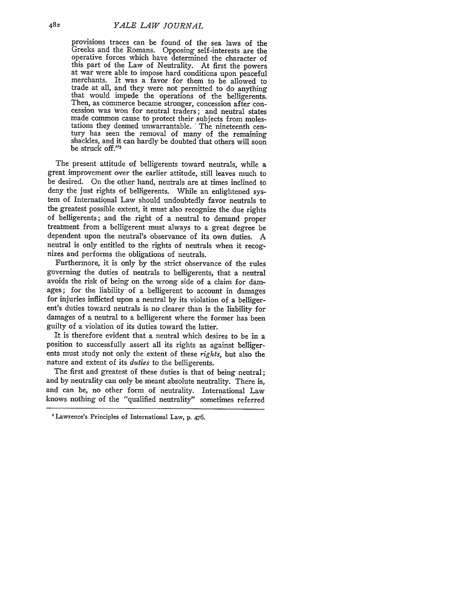provisions traces can be found of the sea laws of the Greeks and the Romans. Opposing self-interests are the operative forces which have determined the character of this part of the Law of Neutrality. At first the powers at war were able to impose hard conditions upon peaceful merchants. It was a favor for them to be allowed to trade at all, and they were not permitted to do anything that would impede the operations of the belligerents. Then, as commerce became stronger, concession after concession was won for neutral traders; and neutral states made common cause to protect their subjects from molestations they deemed unwarrantable. **'** The nineteenth century has seen the removal of many of the remaining shackles, and it can hardly be doubted that others will soon be struck off."<sup>1</sup>

The present attitude of belligerents toward neutrals, while a great improvement over the earlier attitude, still leaves much to be desired. On the other hand, neutrals are at times inclined to deny the just rights of belligerents. While an enlightened system of International Law should undoubtedly favor neutrals to the greatest possible extent, it must also recognize the due rights of belligerents; and the right of a neutral to demand proper treatment from a belligerent must always to a great degree be dependent upon the neutral's observance of its own duties. A neutral is only entitled to the rights of neutrals when it recognizes and performs the obligations of neutrals.

Furthermore, it is only by the strict observance of the rules governing the duties of neutrals to belligerents, that a neutral avoids the risk of being on the wrong side of a claim for damages; for the liability of a belligerent to account in damages for injuries inflicted upon a neutral by its violation of a belligerent's duties toward neutrals is no clearer than is the liability for damages of a neutral to a belligerent where the former has been guilty of a violation of its duties toward the latter.

It is therefore evident that a neutral which desires to be in a position to successfully assert all its rights as against belligerents must study not only the extent of these *rights,* but also the nature and extent of its *duties* to the belligerents.

The first and greatest of these duties is that of being neutral; and by neutrality can only be meant absolute neutrality. There is, and can be, no other form of neutrality. International Law knows nothing of the "qualified neutrality" sometimes referred

<sup>&#</sup>x27;Lawrence's Principles of International Law, **p.** 476.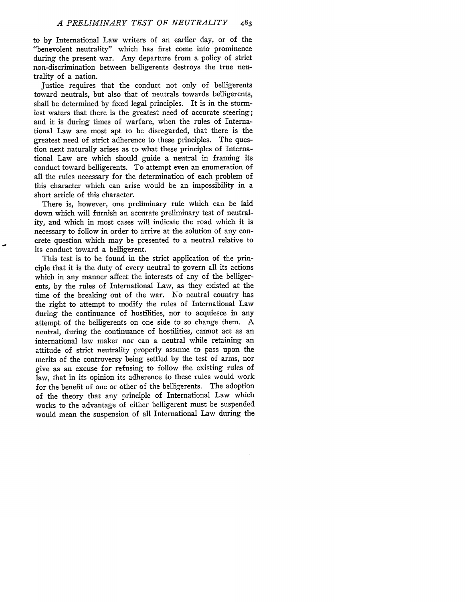to by International Law writers of an earlier day, or of the "benevolent neutrality" which has first come into prominence during the present war. Any departure from a policy of strict non-discrimination between belligerents destroys the true neutrality of a nation.

Justice requires that the conduct not only of belligerents toward neutrals, but also that of neutrals towards belligerents, shall be determined **by** fixed legal principles. It is in the stormiest waters that there is the greatest need of accurate steering; and it is during times of warfare, when the rules of International Law are most apt to be disregarded, that there is the greatest need of strict adherence to these principles. The question next naturally arises as to what these principles of International Law are which should guide a neutral in framing its conduct toward belligerents. To attempt even an enumeration of all the rules necessary for the determination of each problem of this character which can arise would be an impossibility in a short article of this character.

There is, however, one preliminary rule which can be laid down which will furnish an accurate preliminary test of neutrality, and which in most cases will indicate the road which it is necessary to follow in order to arrive at the solution of any concrete question which may be presented to a neutral relative to its conduct toward a belligerent.

This test is to be found in the strict application of the principle that it is the duty of every neutral to govern all its actions which in any manner affect the interests of any of the belligerents, **by** the rules of International Law, as they existed at the time of the breaking out of the war. No neutral country has the right to attempt to modify the rules of International Law during the continuance of hostilities, nor to acquiesce in any attempt of the belligerents on one side to so change them. A neutral, during the continuance of hostilities, cannot act as an international law maker nor can a neutral while retaining an attitude of strict neutrality properly assume to pass upon the merits of the controversy being settled **by** the test of arms, nor give as an excuse for refusing to follow the existing rules of law, that in its opinion its adherence to these rules would work for the benefit of one or other of the belligerents. The adoption of the theory that any principle of International Law which works to the advantage of either belligerent must be suspended would mean the suspension of all International Law during the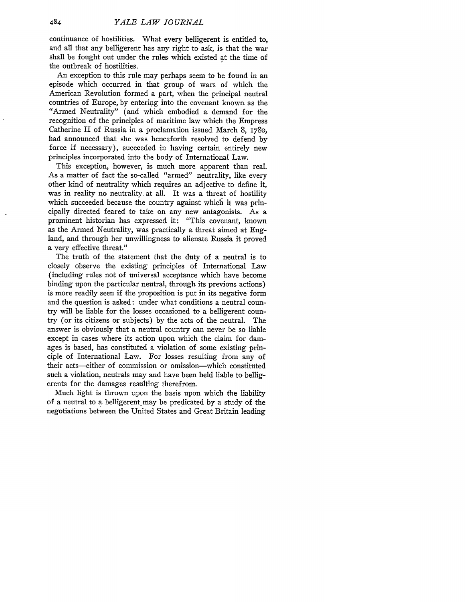continuance of hostilities. What every belligerent is entitled to, and all that any belligerent has any right to ask, is that the war shall be fought out under the rules which existed at the time of the outbreak of hostilities.

An exception to this rule may perhaps seem to be found in an episode which occurred in that group of wars of which the American Revolution formed a part, when the principal neutral countries of Europe, by entering into the covenant known as the "Armed Neutrality" (and which embodied a demand for the recognition of the principles of maritime law which the Empress Catherine II of Russia in a proclamation issued March 8, 1780, had announced that she was henceforth resolved to defend **by** force if necessary), succeeded in having certain entirely new principles incorporated into the body of International Law.

This exception, however, is much more apparent than real. As a matter of fact the so-called "armed" neutrality, like every other kind of neutrality which requires an adjective to define it, was in reality no neutrality, at all. It was a threat of hostility which succeeded because the country against which it was principally directed feared to take on any new antagonists. As a prominent historian has expressed it: "This covenant, known as the Armed Neutrality, was practically a threat aimed at England, and through her unwillingness to alienate Russia it proved a very effective threat."

The truth of the statement that the duty of a neutral is to closely observe the existing principles of International Law (including rules not of universal acceptance which have become binding upon the particular neutral, through its previous actions) is more readily seen if the proposition is put in its negative form and the question is asked: under what conditions a neutral country will be liable for the losses occasioned to a belligerent country (or its citizens or subjects) **by** the acts of the neutral. The answer is obviously that a neutral country can never be so liable except in cases where its action upon which the claim for damages is based, has constituted a violation of some existing principle of International Law. For losses resulting from any of their acts-either of commission or omission-which constituted such a violation, neutrals may and have been held liable to belligerents for the damages resulting therefrom.

Much light is thrown upon the basis upon which the liability of a neutral to a belligerent.may be predicated **by** a study of the negotiations between the United States and Great Britain leading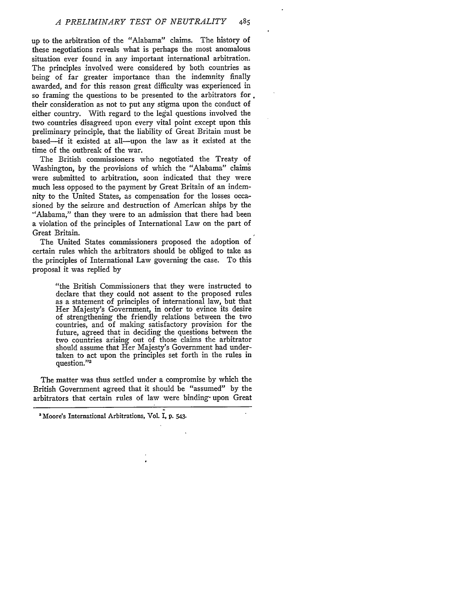up to the arbitration of the "Alabama" claims. The history **of** these negotiations reveals what is perhaps the most anomalous situation ever found in any important international arbitration. The principles involved were considered by both countries as being of far greater importance than the indemnity finally awarded, and for this reason great difficulty was experienced in so framing the questions to be presented to the arbitrators for. their consideration as not to put any stigma upon the conduct of either country. With regard to the legal questions involved the two countries disagreed upon every vital point except upon this preliminary principle, that the liability of Great Britain must be based-if it existed at all-upon the law as it existed at the time of the outbreak of the war.

The British commissioners who negotiated the Treaty of Washington, by the provisions of which the "Alabama" claims were submitted to arbitration, soon indicated that they were much less opposed to the payment by Great Britain of an indemnity to the United States, as compensation for the losses occasioned by the seizure and destruction of American ships by the "Alabama," than they were to an admission that there had been a violation of the principles of International Law on the part of Great Britain.

The United States commissioners proposed the adoption of certain rules which the arbitrators should be obliged to take as the principles of International Law governing the case. To this proposal it was replied by

> "the British Commissioners that they were instructed to declare that they could not assent to the proposed rules as a statement of principles of international law, but that Her Majesty's Government, in order to evince its desire of strengthening the friendly relations between the two countries, and of making satisfactory provision for the future, agreed that in deciding the questions between the two countries arising out of those claims the arbitrator should assume that Her Majesty's Government had undertaken to act upon the principles set forth in the rules in question.<sup>32</sup>

The matter was thus settled under a compromise by which the British Government agreed that it should be "assumed" by the arbitrators that certain rules of law were binding- upon Great

<sup>&#</sup>x27;Moore's International Arbitrations, Vol. I, p. 543.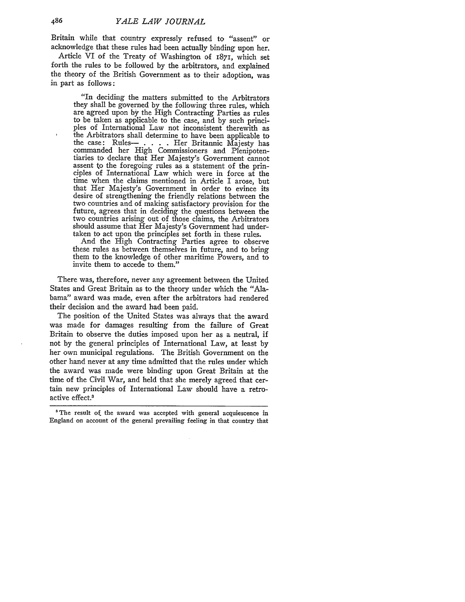Britain while that country expressly refused to "assent" or acknowledge that these rules had been actually binding upon her.

Article VI of the Treaty of Washington of 1871, which set forth the rules to be followed **by** the arbitrators, and explained the theory of the British Government as to their adoption, was in part as follows:

> "In deciding the matters submitted to the Arbitrators they shall be governed **by** the following three rules, which are agreed upon **by** the High Contracting Parties as rules ples of International Law not inconsistent therewith as the Arbitrators shall determine to have been applicable to the case: Rules- . . . . Her Britannic Majesty has commanded her High Commissioners and Plenipotentiaries to declare that Her Majesty's Government cannot assent to the foregoing rules as a statement of the principles of International Law which were in force at the time when the claims mentioned in Article I arose, but that Her Majesty's Government in order to evince its desire of strengthening the friendly relations between the two countries and of making satisfactory provision for the future, agrees that in deciding the questions between the two countries arising out of those claims, the Arbitrators should assume that Her Majesty's Government had undertaken to act upon the principles set forth in these rules.

And the High Contracting Parties agree to observe these rules as between themselves in future, and to bring them to the knowledge of other maritime Powers, and to invite them to accede to them."

There was, therefore, never any agreement between the United States and Great Britain as to the theory under which the "Alabama" award was made, even after the arbitrators had rendered their decision and the award had been paid.

The position of the United States was always that the award was made for damages resulting from the failure of Great Britain to observe the duties imposed upon her as a neutral, if not **by** the general principles of International Law, at least **by** her own municipal regulations. The British Government on the other hand never at any time admitted that the rules under which the award was made were binding upon Great Britain at the time of the Civil War, and held that she merely agreed that certain new principles of International Law should have a retroactive effect.3

'The result of the award was accepted with general acquiescence in England on account of the general prevailing feeling in that country that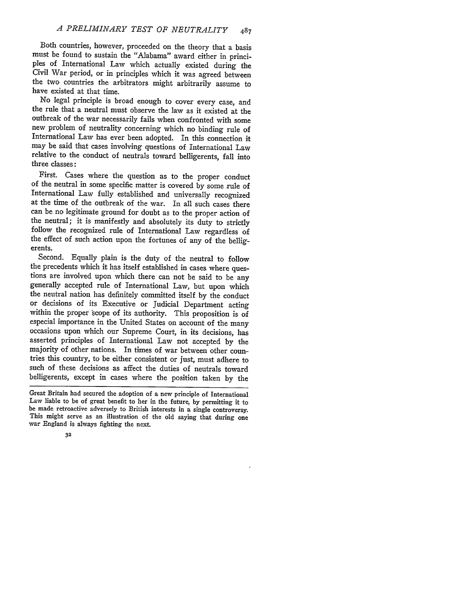Both countries, however, proceeded on the theory that a basis must be found to sustain the "Alabama" award either in princi- ples of International Law which actually existed during the Civil War period, or in principles which it was agreed between the two countries the arbitrators might arbitrarily assume to have existed at that time.

No legal principle is broad enough to cover every case, and the rule that a neutral must observe the law as it existed at the outbreak of the war necessarily fails when confronted with some new problem of neutrality concerning which no binding rule of International Law has ever been adopted. In this connection it may be said that cases involving questions of International Law relative to the conduct of neutrals toward belligerents, fall into three classes:

First. Cases where the question as to the proper conduct of the neutral in some specific matter is covered by some rule of International Law fully established and universally recognized at the time of the outbreak of the war. In all such cases there can be no legitimate ground for doubt as to the proper action of the neutral; it is manifestly and absolutely its duty to strictly follow the recognized rule of International Law regardless of the effect of such action upon the fortunes of any of the belligerents.

Second. Equally plain is the duty of the neutral to follow the precedents which it has itself established in cases where questions are involved upon which there can not be said to be any generally accepted rule of International Law, but upon which the neutral nation has definitely committed itself by the conduct or decisions of its Executive or Judicial Department acting within the proper scope of its authority. This proposition is of especial importance in the United States on account of the many occasions upon which our Supreme Court, in its decisions, has asserted principles of International Law not accepted by the majority of other nations. In times of war between other countries this country, to be either consistent or just, must adhere to such of these decisions as affect the duties of neutrals toward belligerents, except in cases where the position taken by the

Great Britain had secured the adoption of a new principle of International Law liable to be of great benefit to her in the future, by permitting it to be made retroactive adversely to British interests in a single controversy. This might serve as an illustration of the old saying that during one war England is always fighting the next.